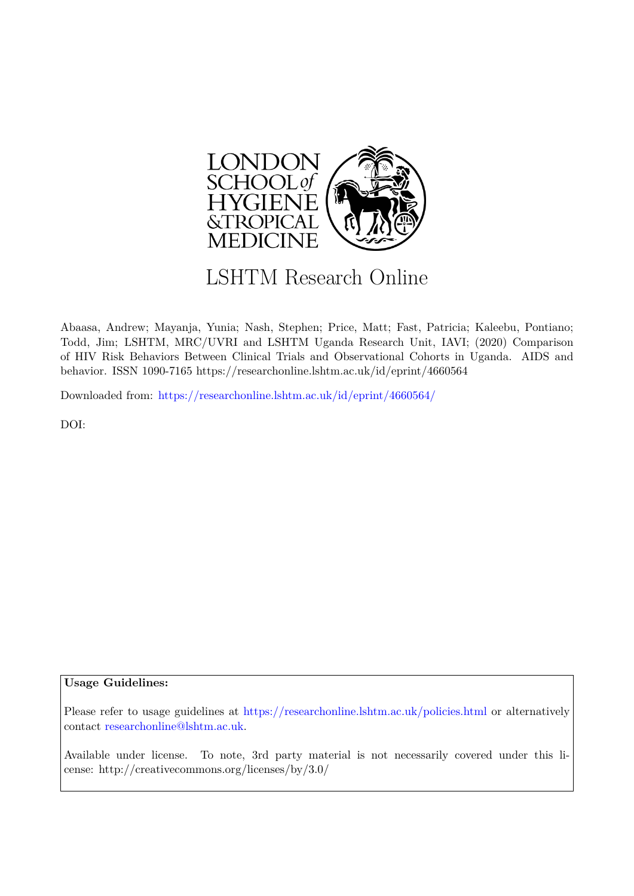

# LSHTM Research Online

Abaasa, Andrew; Mayanja, Yunia; Nash, Stephen; Price, Matt; Fast, Patricia; Kaleebu, Pontiano; Todd, Jim; LSHTM, MRC/UVRI and LSHTM Uganda Research Unit, IAVI; (2020) Comparison of HIV Risk Behaviors Between Clinical Trials and Observational Cohorts in Uganda. AIDS and behavior. ISSN 1090-7165 https://researchonline.lshtm.ac.uk/id/eprint/4660564

Downloaded from: <https://researchonline.lshtm.ac.uk/id/eprint/4660564/>

DOI:

## **Usage Guidelines:**

Please refer to usage guidelines at <https://researchonline.lshtm.ac.uk/policies.html> or alternatively contact [researchonline@lshtm.ac.uk.](mailto:researchonline@lshtm.ac.uk)

Available under license. To note, 3rd party material is not necessarily covered under this license: http://creativecommons.org/licenses/by/3.0/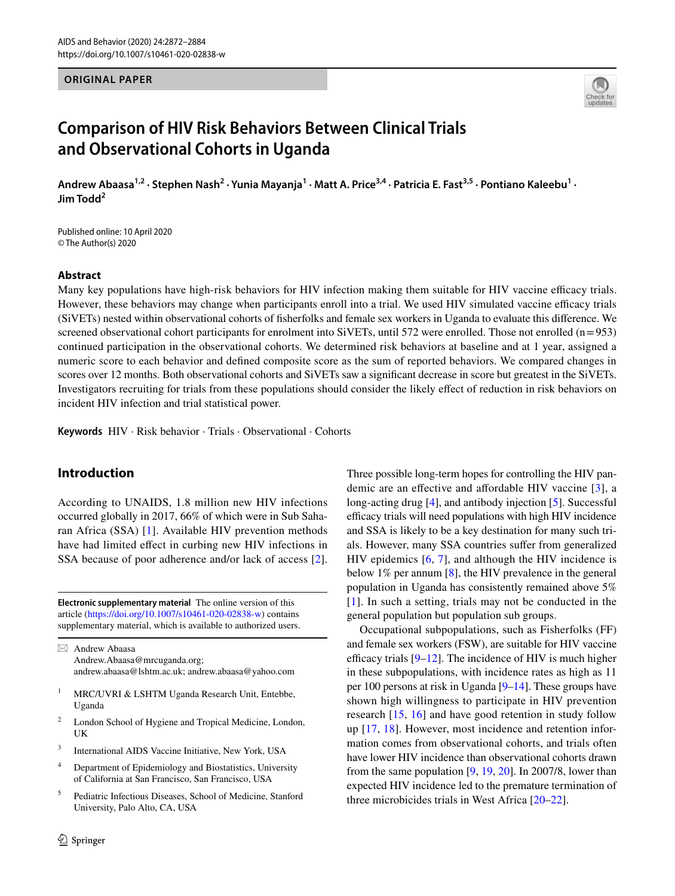#### **ORIGINAL PAPER**



## **Comparison of HIV Risk Behaviors Between Clinical Trials and Observational Cohorts in Uganda**

Andrew Abaasa<sup>1,2</sup> · Stephen Nash<sup>2</sup> · Yunia Mayanja<sup>1</sup> · Matt A. Price<sup>3,4</sup> · Patricia E. Fast<sup>3,5</sup> · Pontiano Kaleebu<sup>1</sup> · **Jim Todd<sup>2</sup>**

Published online: 10 April 2020 © The Author(s) 2020

#### **Abstract**

Many key populations have high-risk behaviors for HIV infection making them suitable for HIV vaccine efficacy trials. However, these behaviors may change when participants enroll into a trial. We used HIV simulated vaccine efficacy trials (SiVETs) nested within observational cohorts of fsherfolks and female sex workers in Uganda to evaluate this diference. We screened observational cohort participants for enrolment into SiVETs, until 572 were enrolled. Those not enrolled (n=953) continued participation in the observational cohorts. We determined risk behaviors at baseline and at 1 year, assigned a numeric score to each behavior and defned composite score as the sum of reported behaviors. We compared changes in scores over 12 months. Both observational cohorts and SiVETs saw a signifcant decrease in score but greatest in the SiVETs. Investigators recruiting for trials from these populations should consider the likely efect of reduction in risk behaviors on incident HIV infection and trial statistical power.

**Keywords** HIV · Risk behavior · Trials · Observational · Cohorts

## **Introduction**

According to UNAIDS, 1.8 million new HIV infections occurred globally in 2017, 66% of which were in Sub Saharan Africa (SSA) [[1](#page-12-0)]. Available HIV prevention methods have had limited effect in curbing new HIV infections in SSA because of poor adherence and/or lack of access [\[2](#page-12-1)].

**Electronic supplementary material** The online version of this article [\(https://doi.org/10.1007/s10461-020-02838-w\)](https://doi.org/10.1007/s10461-020-02838-w) contains supplementary material, which is available to authorized users.

 $\boxtimes$  Andrew Abaasa Andrew.Abaasa@mrcuganda.org; andrew.abaasa@lshtm.ac.uk; andrew.abaasa@yahoo.com

- <sup>1</sup> MRC/UVRI & LSHTM Uganda Research Unit, Entebbe, Uganda
- <sup>2</sup> London School of Hygiene and Tropical Medicine, London, UK
- <sup>3</sup> International AIDS Vaccine Initiative, New York, USA
- <sup>4</sup> Department of Epidemiology and Biostatistics, University of California at San Francisco, San Francisco, USA
- <sup>5</sup> Pediatric Infectious Diseases, School of Medicine, Stanford University, Palo Alto, CA, USA

Three possible long-term hopes for controlling the HIV pandemic are an efective and afordable HIV vaccine [\[3](#page-12-2)], a long-acting drug [[4\]](#page-12-3), and antibody injection [[5\]](#page-12-4). Successful efficacy trials will need populations with high HIV incidence and SSA is likely to be a key destination for many such trials. However, many SSA countries sufer from generalized HIV epidemics [[6,](#page-12-5) [7\]](#page-12-6), and although the HIV incidence is below 1% per annum [[8](#page-12-7)], the HIV prevalence in the general population in Uganda has consistently remained above 5% [[1\]](#page-12-0). In such a setting, trials may not be conducted in the general population but population sub groups.

Occupational subpopulations, such as Fisherfolks (FF) and female sex workers (FSW), are suitable for HIV vaccine efficacy trials  $[9-12]$  $[9-12]$ . The incidence of HIV is much higher in these subpopulations, with incidence rates as high as 11 per 100 persons at risk in Uganda [\[9](#page-12-8)[–14](#page-12-10)]. These groups have shown high willingness to participate in HIV prevention research [[15,](#page-12-11) [16\]](#page-12-12) and have good retention in study follow up [[17,](#page-12-13) [18\]](#page-12-14). However, most incidence and retention information comes from observational cohorts, and trials often have lower HIV incidence than observational cohorts drawn from the same population [[9,](#page-12-8) [19,](#page-12-15) [20\]](#page-12-16). In 2007/8, lower than expected HIV incidence led to the premature termination of three microbicides trials in West Africa [\[20](#page-12-16)[–22](#page-12-17)].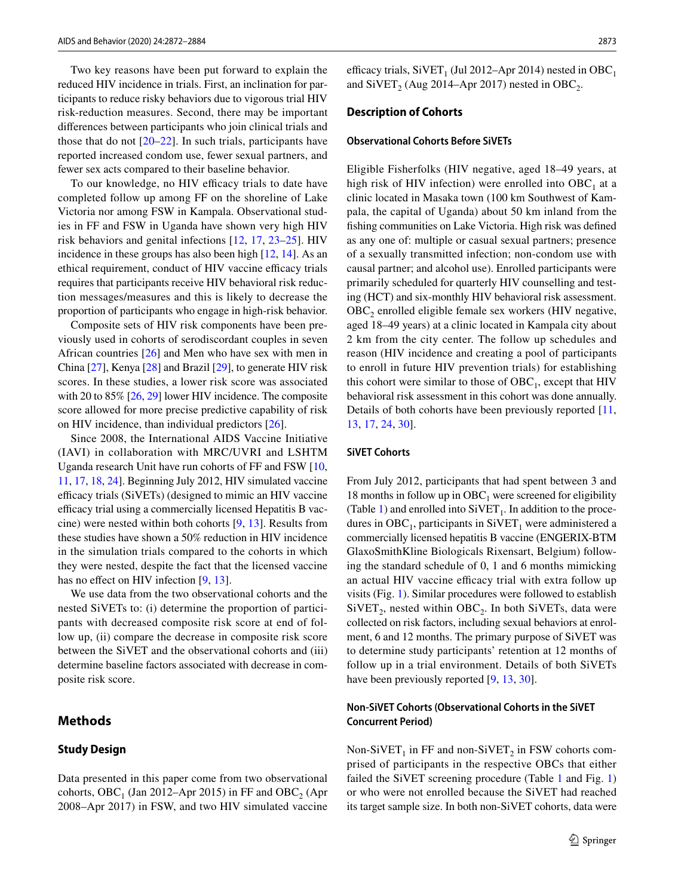Two key reasons have been put forward to explain the reduced HIV incidence in trials. First, an inclination for participants to reduce risky behaviors due to vigorous trial HIV risk-reduction measures. Second, there may be important diferences between participants who join clinical trials and those that do not [\[20](#page-12-16)[–22\]](#page-12-17). In such trials, participants have reported increased condom use, fewer sexual partners, and fewer sex acts compared to their baseline behavior.

To our knowledge, no HIV efficacy trials to date have completed follow up among FF on the shoreline of Lake Victoria nor among FSW in Kampala. Observational studies in FF and FSW in Uganda have shown very high HIV risk behaviors and genital infections [[12,](#page-12-9) [17,](#page-12-13) [23](#page-12-18)[–25](#page-12-19)]. HIV incidence in these groups has also been high [\[12](#page-12-9), [14](#page-12-10)]. As an ethical requirement, conduct of HIV vaccine efficacy trials requires that participants receive HIV behavioral risk reduction messages/measures and this is likely to decrease the proportion of participants who engage in high-risk behavior.

Composite sets of HIV risk components have been previously used in cohorts of serodiscordant couples in seven African countries [\[26](#page-12-20)] and Men who have sex with men in China [\[27](#page-12-21)], Kenya [\[28\]](#page-12-22) and Brazil [[29\]](#page-12-23), to generate HIV risk scores. In these studies, a lower risk score was associated with 20 to 85% [\[26](#page-12-20), [29\]](#page-12-23) lower HIV incidence. The composite score allowed for more precise predictive capability of risk on HIV incidence, than individual predictors [\[26](#page-12-20)].

Since 2008, the International AIDS Vaccine Initiative (IAVI) in collaboration with MRC/UVRI and LSHTM Uganda research Unit have run cohorts of FF and FSW [[10,](#page-12-24) [11,](#page-12-25) [17](#page-12-13), [18](#page-12-14), [24\]](#page-12-26). Beginning July 2012, HIV simulated vaccine efficacy trials (SiVETs) (designed to mimic an HIV vaccine efficacy trial using a commercially licensed Hepatitis B vaccine) were nested within both cohorts [[9,](#page-12-8) [13](#page-12-27)]. Results from these studies have shown a 50% reduction in HIV incidence in the simulation trials compared to the cohorts in which they were nested, despite the fact that the licensed vaccine has no effect on HIV infection [[9,](#page-12-8) [13\]](#page-12-27).

We use data from the two observational cohorts and the nested SiVETs to: (i) determine the proportion of participants with decreased composite risk score at end of follow up, (ii) compare the decrease in composite risk score between the SiVET and the observational cohorts and (iii) determine baseline factors associated with decrease in composite risk score.

### **Methods**

#### **Study Design**

Data presented in this paper come from two observational cohorts, OBC<sub>1</sub> (Jan 2012–Apr 2015) in FF and OBC<sub>2</sub> (Apr 2008–Apr 2017) in FSW, and two HIV simulated vaccine

efficacy trials, SiVET<sub>1</sub> (Jul 2012–Apr 2014) nested in OBC<sub>1</sub> and  $\text{SiVET}_2$  (Aug 2014–Apr 2017) nested in OBC<sub>2</sub>.

#### **Description of Cohorts**

#### **Observational Cohorts Before SiVETs**

Eligible Fisherfolks (HIV negative, aged 18–49 years, at high risk of HIV infection) were enrolled into  $OBC<sub>1</sub>$  at a clinic located in Masaka town (100 km Southwest of Kampala, the capital of Uganda) about 50 km inland from the fshing communities on Lake Victoria. High risk was defned as any one of: multiple or casual sexual partners; presence of a sexually transmitted infection; non-condom use with causal partner; and alcohol use). Enrolled participants were primarily scheduled for quarterly HIV counselling and testing (HCT) and six-monthly HIV behavioral risk assessment. OBC<sub>2</sub> enrolled eligible female sex workers (HIV negative, aged 18–49 years) at a clinic located in Kampala city about 2 km from the city center. The follow up schedules and reason (HIV incidence and creating a pool of participants to enroll in future HIV prevention trials) for establishing this cohort were similar to those of  $OBC<sub>1</sub>$ , except that HIV behavioral risk assessment in this cohort was done annually. Details of both cohorts have been previously reported [[11,](#page-12-25) [13](#page-12-27), [17](#page-12-13), [24](#page-12-26), [30](#page-12-28)].

#### **SiVET Cohorts**

From July 2012, participants that had spent between 3 and 18 months in follow up in  $OBC<sub>1</sub>$  were screened for eligibility (Table [1\)](#page-3-0) and enrolled into  $SiVET<sub>1</sub>$ . In addition to the procedures in  $OBC<sub>1</sub>$ , participants in  $SIVET<sub>1</sub>$  were administered a commercially licensed hepatitis B vaccine (ENGERIX-BTM GlaxoSmithKline Biologicals Rixensart, Belgium) following the standard schedule of 0, 1 and 6 months mimicking an actual HIV vaccine efficacy trial with extra follow up visits (Fig. [1\)](#page-4-0). Similar procedures were followed to establish  $SiVET_2$ , nested within  $OBC_2$ . In both SiVETs, data were collected on risk factors, including sexual behaviors at enrolment, 6 and 12 months. The primary purpose of SiVET was to determine study participants' retention at 12 months of follow up in a trial environment. Details of both SiVETs have been previously reported [\[9](#page-12-8), [13](#page-12-27), [30](#page-12-28)].

#### **Non‑SiVET Cohorts (Observational Cohorts in the SiVET Concurrent Period)**

Non-SiVET<sub>1</sub> in FF and non-SiVET<sub>2</sub> in FSW cohorts comprised of participants in the respective OBCs that either failed the SiVET screening procedure (Table [1](#page-3-0) and Fig. [1\)](#page-4-0) or who were not enrolled because the SiVET had reached its target sample size. In both non-SiVET cohorts, data were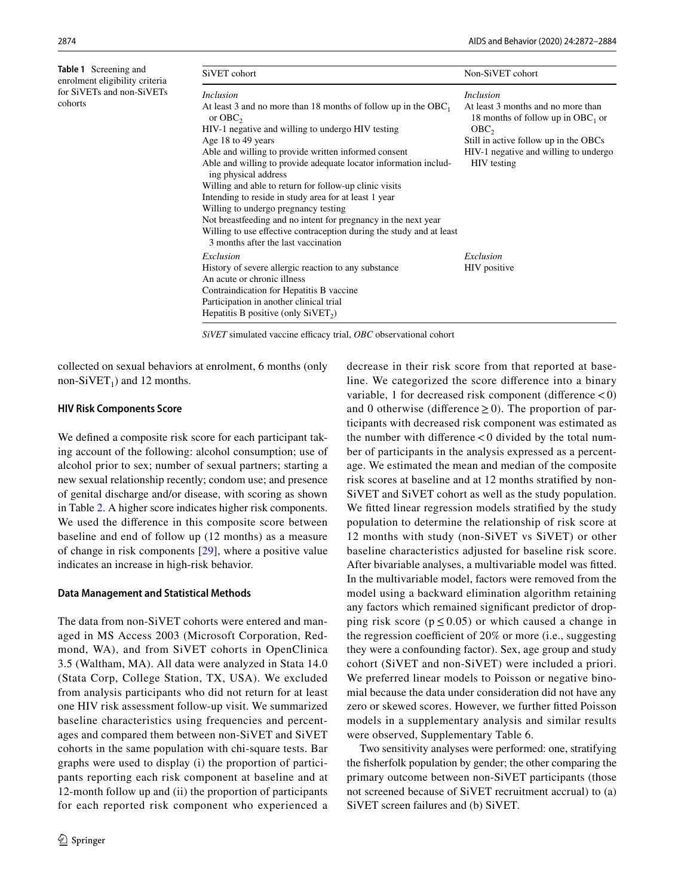$\mathbf{c}$ 

<span id="page-3-0"></span>

| <b>Table 1</b> Screening and                                           | SiVET cohort                                                                                                                                                                                                                                                                                                                                                                                                                                                                                                                                                                                                                                                                  | Non-SiVET cohort                                                                                                                                                                                                    |
|------------------------------------------------------------------------|-------------------------------------------------------------------------------------------------------------------------------------------------------------------------------------------------------------------------------------------------------------------------------------------------------------------------------------------------------------------------------------------------------------------------------------------------------------------------------------------------------------------------------------------------------------------------------------------------------------------------------------------------------------------------------|---------------------------------------------------------------------------------------------------------------------------------------------------------------------------------------------------------------------|
| enrolment eligibility criteria<br>for SiVETs and non-SiVETs<br>cohorts | <i>Inclusion</i><br>At least 3 and no more than 18 months of follow up in the $OBC_1$<br>or $OBC2$<br>HIV-1 negative and willing to undergo HIV testing<br>Age 18 to 49 years<br>Able and willing to provide written informed consent<br>Able and willing to provide adequate locator information includ-<br>ing physical address<br>Willing and able to return for follow-up clinic visits<br>Intending to reside in study area for at least 1 year<br>Willing to undergo pregnancy testing<br>Not breastfeeding and no intent for pregnancy in the next year<br>Willing to use effective contraception during the study and at least<br>3 months after the last vaccination | <i>Inclusion</i><br>At least 3 months and no more than<br>18 months of follow up in $OBC_1$ or<br>OBC <sub>2</sub><br>Still in active follow up in the OBCs<br>HIV-1 negative and willing to undergo<br>HIV testing |
|                                                                        | Exclusion<br>History of severe allergic reaction to any substance<br>An acute or chronic illness<br>Contraindication for Hepatitis B vaccine<br>Participation in another clinical trial<br>Hepatitis B positive (only $SIVET_2$ )                                                                                                                                                                                                                                                                                                                                                                                                                                             | Exclusion<br>HIV positive                                                                                                                                                                                           |

*SiVET* simulated vaccine efficacy trial, *OBC* observational cohort

collected on sexual behaviors at enrolment, 6 months (only non-SiVET<sub>1</sub>) and 12 months.

#### **HIV Risk Components Score**

We defned a composite risk score for each participant taking account of the following: alcohol consumption; use of alcohol prior to sex; number of sexual partners; starting a new sexual relationship recently; condom use; and presence of genital discharge and/or disease, with scoring as shown in Table [2.](#page-5-0) A higher score indicates higher risk components. We used the diference in this composite score between baseline and end of follow up (12 months) as a measure of change in risk components [\[29](#page-12-23)], where a positive value indicates an increase in high-risk behavior.

#### **Data Management and Statistical Methods**

The data from non-SiVET cohorts were entered and managed in MS Access 2003 (Microsoft Corporation, Redmond, WA), and from SiVET cohorts in OpenClinica 3.5 (Waltham, MA). All data were analyzed in Stata 14.0 (Stata Corp, College Station, TX, USA). We excluded from analysis participants who did not return for at least one HIV risk assessment follow-up visit. We summarized baseline characteristics using frequencies and percentages and compared them between non-SiVET and SiVET cohorts in the same population with chi-square tests. Bar graphs were used to display (i) the proportion of participants reporting each risk component at baseline and at 12-month follow up and (ii) the proportion of participants for each reported risk component who experienced a decrease in their risk score from that reported at baseline. We categorized the score diference into a binary variable, 1 for decreased risk component (diference <0) and 0 otherwise (difference  $\geq$  0). The proportion of participants with decreased risk component was estimated as the number with difference  $< 0$  divided by the total number of participants in the analysis expressed as a percentage. We estimated the mean and median of the composite risk scores at baseline and at 12 months stratifed by non-SiVET and SiVET cohort as well as the study population. We fitted linear regression models stratified by the study population to determine the relationship of risk score at 12 months with study (non-SiVET vs SiVET) or other baseline characteristics adjusted for baseline risk score. After bivariable analyses, a multivariable model was ftted. In the multivariable model, factors were removed from the model using a backward elimination algorithm retaining any factors which remained signifcant predictor of dropping risk score ( $p \le 0.05$ ) or which caused a change in the regression coefficient of  $20\%$  or more (i.e., suggesting they were a confounding factor). Sex, age group and study cohort (SiVET and non-SiVET) were included a priori. We preferred linear models to Poisson or negative binomial because the data under consideration did not have any zero or skewed scores. However, we further ftted Poisson models in a supplementary analysis and similar results were observed, Supplementary Table 6.

Two sensitivity analyses were performed: one, stratifying the fsherfolk population by gender; the other comparing the primary outcome between non-SiVET participants (those not screened because of SiVET recruitment accrual) to (a) SiVET screen failures and (b) SiVET.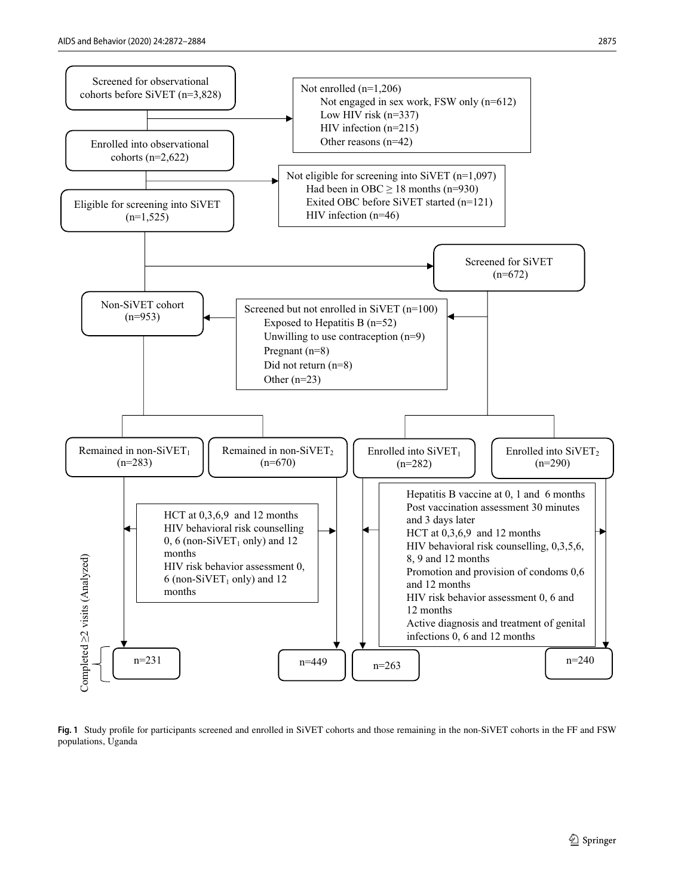

<span id="page-4-0"></span>**Fig. 1** Study profle for participants screened and enrolled in SiVET cohorts and those remaining in the non-SiVET cohorts in the FF and FSW populations, Uganda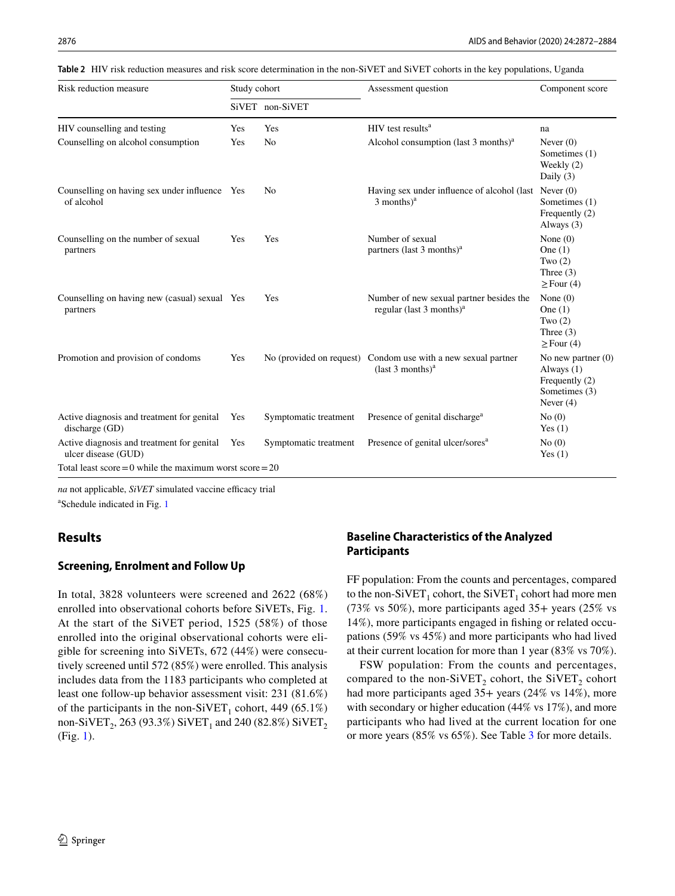<span id="page-5-0"></span>

| Table 2 HIV risk reduction measures and risk score determination in the non-SiVET and SiVET cohorts in the key populations, Uganda |  |
|------------------------------------------------------------------------------------------------------------------------------------|--|
|------------------------------------------------------------------------------------------------------------------------------------|--|

| Risk reduction measure                                            | Study cohort |                       | Assessment question                                                                 | Component score                                                                      |  |
|-------------------------------------------------------------------|--------------|-----------------------|-------------------------------------------------------------------------------------|--------------------------------------------------------------------------------------|--|
|                                                                   |              | SiVET non-SiVET       |                                                                                     |                                                                                      |  |
| HIV counselling and testing                                       | Yes          | Yes                   | $HIV$ test results <sup>a</sup>                                                     | na                                                                                   |  |
| Counselling on alcohol consumption                                | Yes          | No                    | Alcohol consumption (last 3 months) <sup>a</sup>                                    | Never $(0)$<br>Sometimes (1)<br>Weekly (2)<br>Daily $(3)$                            |  |
| Counselling on having sex under influence Yes<br>of alcohol       |              | N <sub>0</sub>        | Having sex under influence of alcohol (last Never (0)<br>$3$ months) <sup>a</sup>   | Sometimes (1)<br>Frequently (2)<br>Always $(3)$                                      |  |
| Counselling on the number of sexual<br>partners                   | Yes          | Yes                   | Number of sexual<br>partners (last 3 months) <sup>a</sup>                           | None $(0)$<br>One $(1)$<br>Two $(2)$<br>Three $(3)$<br>$\geq$ Four (4)               |  |
| Counselling on having new (casual) sexual Yes<br>partners         |              | Yes                   | Number of new sexual partner besides the<br>regular (last 3 months) <sup>a</sup>    | None $(0)$<br>One $(1)$<br>Two $(2)$<br>Three $(3)$<br>$\geq$ Four (4)               |  |
| Promotion and provision of condoms                                | Yes          |                       | No (provided on request) Condom use with a new sexual partner<br>$last 3 months)^a$ | No new partner $(0)$<br>Always (1)<br>Frequently (2)<br>Sometimes (3)<br>Never $(4)$ |  |
| Active diagnosis and treatment for genital<br>discharge (GD)      | Yes          | Symptomatic treatment | Presence of genital discharge <sup>a</sup>                                          | No(0)<br>Yes $(1)$                                                                   |  |
| Active diagnosis and treatment for genital<br>ulcer disease (GUD) | Yes          | Symptomatic treatment | Presence of genital ulcer/sores <sup>a</sup>                                        | No(0)<br>Yes $(1)$                                                                   |  |
| Total least score = 0 while the maximum worst score = $20$        |              |                       |                                                                                     |                                                                                      |  |

*na* not applicable, *SiVET* simulated vaccine efficacy trial

<sup>a</sup>Schedule indicated in Fig. [1](#page-4-0)

## **Results**

#### **Screening, Enrolment and Follow Up**

In total, 3828 volunteers were screened and 2622 (68%) enrolled into observational cohorts before SiVETs, Fig. [1.](#page-4-0) At the start of the SiVET period, 1525 (58%) of those enrolled into the original observational cohorts were eligible for screening into SiVETs, 672 (44%) were consecutively screened until 572 (85%) were enrolled. This analysis includes data from the 1183 participants who completed at least one follow-up behavior assessment visit: 231 (81.6%) of the participants in the non-SiVET<sub>1</sub> cohort, 449 (65.1%) non-SiVET<sub>2</sub>, 263 (93.3%) SiVET<sub>1</sub> and 240 (82.8%) SiVET<sub>2</sub> (Fig. [1\)](#page-4-0).

## **Baseline Characteristics of the Analyzed Participants**

FF population: From the counts and percentages, compared to the non-SiVET<sub>1</sub> cohort, the SiVET<sub>1</sub> cohort had more men (73% vs 50%), more participants aged 35+ years (25% vs 14%), more participants engaged in fshing or related occupations (59% vs 45%) and more participants who had lived at their current location for more than 1 year (83% vs 70%).

FSW population: From the counts and percentages, compared to the non-SiVET<sub>2</sub> cohort, the SiVET<sub>2</sub> cohort had more participants aged 35+ years (24% vs 14%), more with secondary or higher education (44% vs 17%), and more participants who had lived at the current location for one or more years (85% vs 65%). See Table [3](#page-6-0) for more details.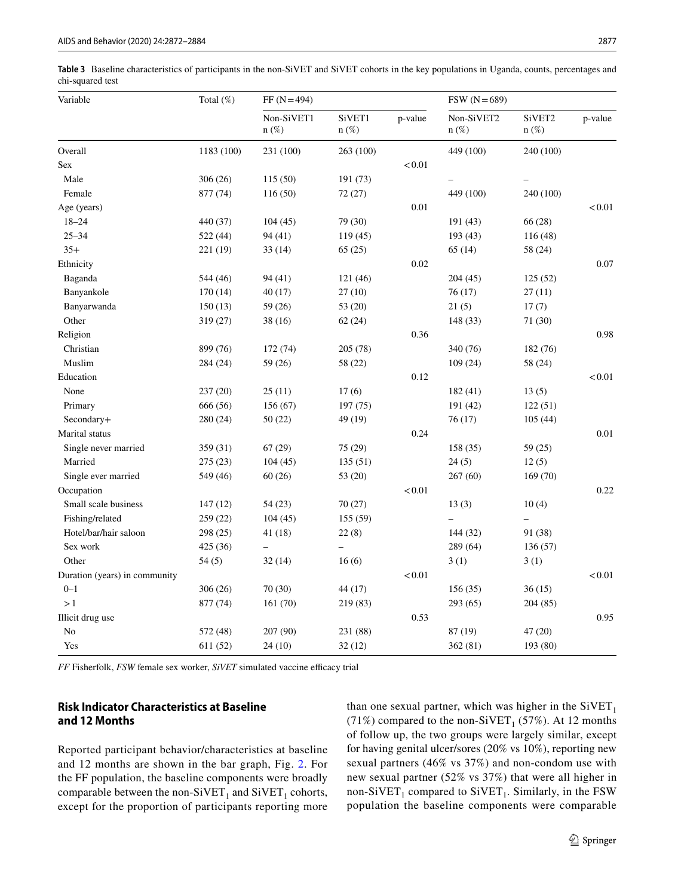<span id="page-6-0"></span>**Table 3** Baseline characteristics of participants in the non-SiVET and SiVET cohorts in the key populations in Uganda, counts, percentages and chi-squared test

| Variable                      | Total (%)  | $FF (N=494)$             |                          |         | $FSW (N=689)$         |                   |          |
|-------------------------------|------------|--------------------------|--------------------------|---------|-----------------------|-------------------|----------|
|                               |            | Non-SiVET1<br>$n(\%)$    | SiVET1<br>$n(\%)$        | p-value | Non-SiVET2<br>$n(\%)$ | SiVET2<br>$n(\%)$ | p-value  |
| Overall                       | 1183 (100) | 231 (100)                | 263 (100)                |         | 449 (100)             | 240 (100)         |          |
| Sex                           |            |                          |                          | < 0.01  |                       |                   |          |
| Male                          | 306 (26)   | 115(50)                  | 191 (73)                 |         |                       |                   |          |
| Female                        | 877 (74)   | 116(50)                  | 72(27)                   |         | 449 (100)             | 240 (100)         |          |
| Age (years)                   |            |                          |                          | 0.01    |                       |                   | < 0.01   |
| $18 - 24$                     | 440 (37)   | 104(45)                  | 79 (30)                  |         | 191(43)               | 66 (28)           |          |
| $25 - 34$                     | 522 (44)   | 94 (41)                  | 119 (45)                 |         | 193 (43)              | 116 (48)          |          |
| $35+$                         | 221 (19)   | 33(14)                   | 65(25)                   |         | 65(14)                | 58 (24)           |          |
| Ethnicity                     |            |                          |                          | 0.02    |                       |                   | 0.07     |
| Baganda                       | 544 (46)   | 94 (41)                  | 121 (46)                 |         | 204(45)               | 125(52)           |          |
| Banyankole                    | 170(14)    | 40(17)                   | 27(10)                   |         | 76(17)                | 27(11)            |          |
| Banyarwanda                   | 150(13)    | 59 (26)                  | 53 (20)                  |         | 21(5)                 | 17(7)             |          |
| Other                         | 319 (27)   | 38 (16)                  | 62(24)                   |         | 148 (33)              | 71 (30)           |          |
| Religion                      |            |                          |                          | 0.36    |                       |                   | 0.98     |
| Christian                     | 899 (76)   | 172 (74)                 | 205 (78)                 |         | 340 (76)              | 182 (76)          |          |
| Muslim                        | 284 (24)   | 59 (26)                  | 58 (22)                  |         | 109(24)               | 58 (24)           |          |
| Education                     |            |                          |                          | 0.12    |                       |                   | < 0.01   |
| None                          | 237(20)    | 25(11)                   | 17(6)                    |         | 182(41)               | 13(5)             |          |
| Primary                       | 666 (56)   | 156 (67)                 | 197 (75)                 |         | 191 (42)              | 122(51)           |          |
| Secondary+                    | 280 (24)   | 50(22)                   | 49 (19)                  |         | 76(17)                | 105(44)           |          |
| Marital status                |            |                          |                          | 0.24    |                       |                   | $0.01\,$ |
| Single never married          | 359 (31)   | 67(29)                   | 75 (29)                  |         | 158 (35)              | 59 (25)           |          |
| Married                       | 275 (23)   | 104(45)                  | 135(51)                  |         | 24(5)                 | 12(5)             |          |
| Single ever married           | 549 (46)   | 60(26)                   | 53 (20)                  |         | 267 (60)              | 169(70)           |          |
| Occupation                    |            |                          |                          | < 0.01  |                       |                   | 0.22     |
| Small scale business          | 147(12)    | 54(23)                   | 70 (27)                  |         | 13(3)                 | 10(4)             |          |
| Fishing/related               | 259 (22)   | 104(45)                  | 155 (59)                 |         |                       | $\equiv$          |          |
| Hotel/bar/hair saloon         | 298 (25)   | 41 (18)                  | 22(8)                    |         | 144 (32)              | 91 (38)           |          |
| Sex work                      | 425 (36)   | $\overline{\phantom{0}}$ | $\overline{\phantom{0}}$ |         | 289 (64)              | 136 (57)          |          |
| Other                         | 54(5)      | 32(14)                   | 16(6)                    |         | 3(1)                  | 3(1)              |          |
| Duration (years) in community |            |                          |                          | < 0.01  |                       |                   | < 0.01   |
| $0 - 1$                       | 306(26)    | 70 (30)                  | 44 (17)                  |         | 156(35)               | 36(15)            |          |
| >1                            | 877 (74)   | 161(70)                  | 219 (83)                 |         | 293(65)               | 204 (85)          |          |
| Illicit drug use              |            |                          |                          | 0.53    |                       |                   | 0.95     |
| No                            | 572 (48)   | 207 (90)                 | 231 (88)                 |         | 87 (19)               | 47 (20)           |          |
| Yes                           | 611 (52)   | 24 (10)                  | 32(12)                   |         | 362(81)               | 193 (80)          |          |

*FF* Fisherfolk, *FSW* female sex worker, *SiVET* simulated vaccine efficacy trial

## **Risk Indicator Characteristics at Baseline and 12 Months**

Reported participant behavior/characteristics at baseline and 12 months are shown in the bar graph, Fig. [2](#page-7-0). For the FF population, the baseline components were broadly comparable between the non-SiVET<sub>1</sub> and SiVET<sub>1</sub> cohorts, except for the proportion of participants reporting more than one sexual partner, which was higher in the  $SiVET_1$ (71%) compared to the non-SiVET<sub>1</sub> (57%). At 12 months of follow up, the two groups were largely similar, except for having genital ulcer/sores (20% vs 10%), reporting new sexual partners (46% vs 37%) and non-condom use with new sexual partner (52% vs 37%) that were all higher in non-SiVET<sub>1</sub> compared to SiVET<sub>1</sub>. Similarly, in the FSW population the baseline components were comparable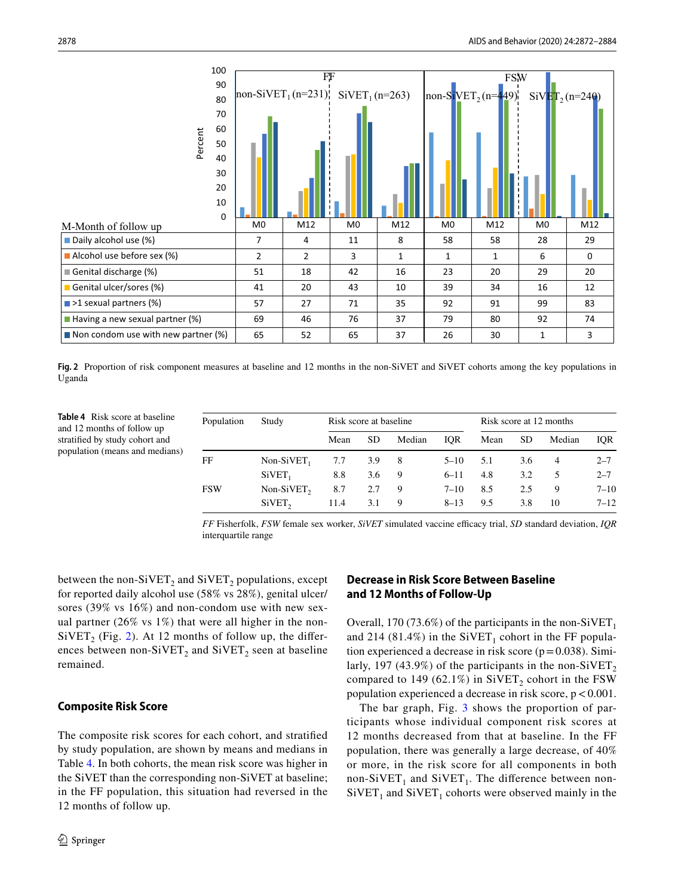

<span id="page-7-0"></span>**Fig. 2** Proportion of risk component measures at baseline and 12 months in the non-SiVET and SiVET cohorts among the key populations in Uganda

<span id="page-7-1"></span>**Table 4** Risk score at baseline and 12 months of follow up stratifed by study cohort and population (means and medians)

| Population | Study                  | Risk score at baseline |           |        |          | Risk score at 12 months |     |                |          |
|------------|------------------------|------------------------|-----------|--------|----------|-------------------------|-----|----------------|----------|
|            |                        | Mean                   | <b>SD</b> | Median | IOR.     | Mean                    | SD. | Median         | IOR      |
| FF         | Non-SiVET <sub>1</sub> | 7.7                    | 3.9       | - 8    | $5 - 10$ | 5.1                     | 3.6 | $\overline{4}$ | $2 - 7$  |
|            | SiVET <sub>1</sub>     | 8.8                    | 3.6       | 9      | $6 - 11$ | 4.8                     | 3.2 | 5              | $2 - 7$  |
| <b>FSW</b> | $Non-SiVET$ ,          | 8.7                    | 2.7       | 9      | $7 - 10$ | 8.5                     | 2.5 | 9              | $7 - 10$ |
|            | SiVET <sub>2</sub>     | 11.4                   | 3.1       | 9      | $8 - 13$ | 9.5                     | 3.8 | 10             | $7 - 12$ |

*FF* Fisherfolk, *FSW* female sex worker, *SiVET* simulated vaccine efficacy trial, *SD* standard deviation, *IQR* interquartile range

between the non-SiVET<sub>2</sub> and SiVET<sub>2</sub> populations, except for reported daily alcohol use (58% vs 28%), genital ulcer/ sores (39% vs 16%) and non-condom use with new sexual partner (26% vs 1%) that were all higher in the non- $SiVET_2$  $SiVET_2$  (Fig. 2). At 12 months of follow up, the differences between non-SiVET<sub>2</sub> and SiVET<sub>2</sub> seen at baseline remained.

## **Composite Risk Score**

The composite risk scores for each cohort, and stratifed by study population, are shown by means and medians in Table [4](#page-7-1). In both cohorts, the mean risk score was higher in the SiVET than the corresponding non-SiVET at baseline; in the FF population, this situation had reversed in the 12 months of follow up.

## **Decrease in Risk Score Between Baseline and 12 Months of Follow‑Up**

Overall, 170 (73.6%) of the participants in the non-SiVET<sub>1</sub> and 214 (81.4%) in the  $SiVET_1$  cohort in the FF population experienced a decrease in risk score ( $p=0.038$ ). Similarly, 197 (43.9%) of the participants in the non-SiVET, compared to 149 (62.1%) in SiVET<sub>2</sub> cohort in the FSW population experienced a decrease in risk score,  $p < 0.001$ .

The bar graph, Fig. [3](#page-8-0) shows the proportion of participants whose individual component risk scores at 12 months decreased from that at baseline. In the FF population, there was generally a large decrease, of 40% or more, in the risk score for all components in both non-SiVET<sub>1</sub> and SiVET<sub>1</sub>. The difference between non- $SiVET_1$  and  $SiVET_1$  cohorts were observed mainly in the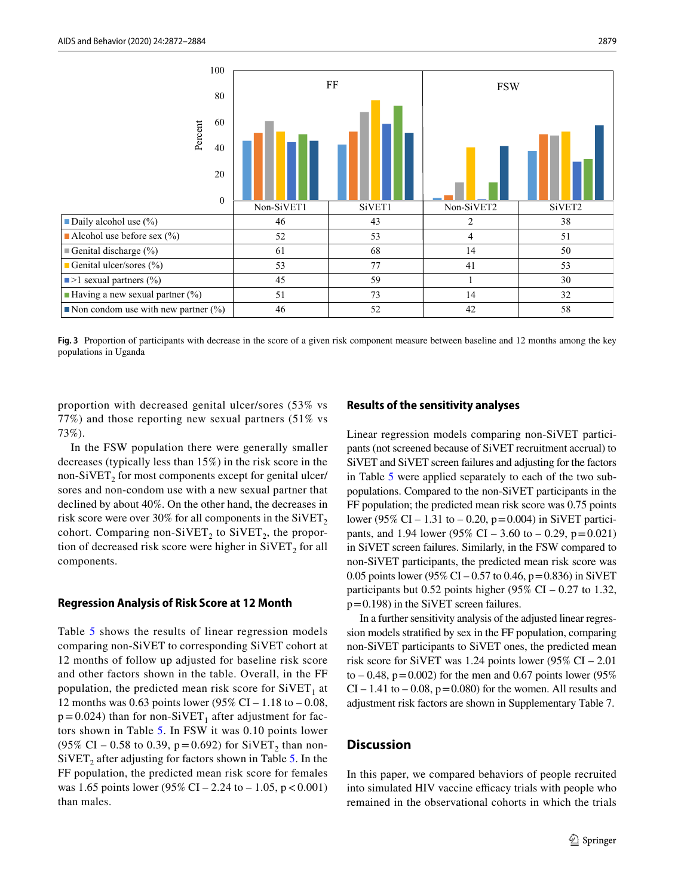

<span id="page-8-0"></span>**Fig. 3** Proportion of participants with decrease in the score of a given risk component measure between baseline and 12 months among the key populations in Uganda

proportion with decreased genital ulcer/sores (53% vs 77%) and those reporting new sexual partners (51% vs 73%).

In the FSW population there were generally smaller decreases (typically less than 15%) in the risk score in the non-SiVET<sub>2</sub> for most components except for genital ulcer/ sores and non-condom use with a new sexual partner that declined by about 40%. On the other hand, the decreases in risk score were over 30% for all components in the  $\text{SiVET}_2$ cohort. Comparing non-SiVET<sub>2</sub> to SiVET<sub>2</sub>, the proportion of decreased risk score were higher in  $SiVET<sub>2</sub>$  for all components.

#### **Regression Analysis of Risk Score at 12 Month**

Table [5](#page-9-0) shows the results of linear regression models comparing non-SiVET to corresponding SiVET cohort at 12 months of follow up adjusted for baseline risk score and other factors shown in the table. Overall, in the FF population, the predicted mean risk score for  $SiVET_1$  at 12 months was 0.63 points lower (95% CI – 1.18 to – 0.08,  $p=0.024$ ) than for non-SiVET<sub>1</sub> after adjustment for factors shown in Table [5](#page-9-0). In FSW it was 0.10 points lower (95% CI – 0.58 to 0.39, p = 0.692) for SiVET<sub>2</sub> than non- $SiVET_2$  after adjusting for factors shown in Table [5.](#page-9-0) In the FF population, the predicted mean risk score for females was 1.65 points lower (95% CI – 2.24 to – 1.05,  $p < 0.001$ ) than males.

#### **Results of the sensitivity analyses**

Linear regression models comparing non-SiVET participants (not screened because of SiVET recruitment accrual) to SiVET and SiVET screen failures and adjusting for the factors in Table [5](#page-9-0) were applied separately to each of the two subpopulations. Compared to the non-SiVET participants in the FF population; the predicted mean risk score was 0.75 points lower (95% CI – 1.31 to – 0.20, p=0.004) in SiVET participants, and 1.94 lower (95% CI – 3.60 to – 0.29,  $p=0.021$ ) in SiVET screen failures. Similarly, in the FSW compared to non-SiVET participants, the predicted mean risk score was 0.05 points lower (95% CI – 0.57 to 0.46,  $p = 0.836$ ) in SiVET participants but 0.52 points higher (95% CI – 0.27 to 1.32, p=0.198) in the SiVET screen failures.

In a further sensitivity analysis of the adjusted linear regression models stratifed by sex in the FF population, comparing non-SiVET participants to SiVET ones, the predicted mean risk score for SiVET was 1.24 points lower (95% CI – 2.01 to  $-0.48$ ,  $p=0.002$ ) for the men and 0.67 points lower (95%)  $CI - 1.41$  to  $-0.08$ ,  $p = 0.080$  for the women. All results and adjustment risk factors are shown in Supplementary Table 7.

#### **Discussion**

In this paper, we compared behaviors of people recruited into simulated HIV vaccine efficacy trials with people who remained in the observational cohorts in which the trials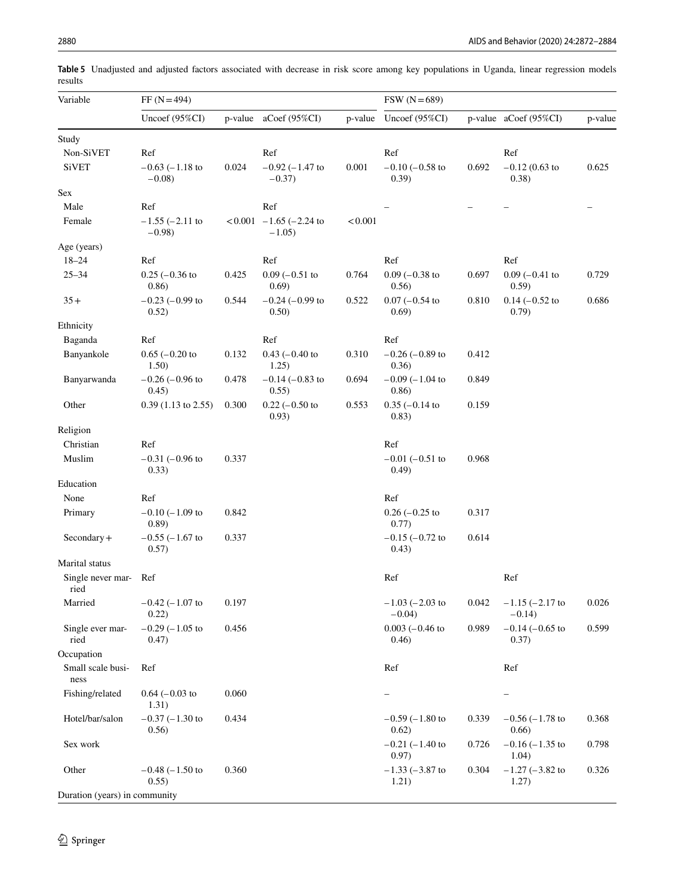| Variable                      | $FF (N=494)$                    |         | $FSW (N=689)$                       |         |                                   |       |                                 |         |
|-------------------------------|---------------------------------|---------|-------------------------------------|---------|-----------------------------------|-------|---------------------------------|---------|
|                               | Uncoef $(95\%CI)$               | p-value | aCoef $(95\%CI)$                    | p-value | Uncoef $(95\%CI)$                 |       | $p$ -value aCoef (95%CI)        | p-value |
| Study                         |                                 |         |                                     |         |                                   |       |                                 |         |
| Non-SiVET                     | Ref                             |         | Ref                                 |         | Ref                               |       | Ref                             |         |
| <b>SiVET</b>                  | $-0.63$ ( $-1.18$ to<br>$-0.08$ | 0.024   | $-0.92$ ( $-1.47$ to<br>$-0.37$ )   | 0.001   | $-0.10$ ( $-0.58$ to<br>(0.39)    | 0.692 | $-0.12$ (0.63 to<br>(0.38)      | 0.625   |
| <b>Sex</b>                    |                                 |         |                                     |         |                                   |       |                                 |         |
| Male                          | Ref                             |         | Ref                                 |         |                                   |       |                                 |         |
| Female                        | $-1.55$ ( $-2.11$ to<br>$-0.98$ |         | $<0.001$ -1.65 (-2.24 to<br>$-1.05$ | < 0.001 |                                   |       |                                 |         |
| Age (years)                   |                                 |         |                                     |         |                                   |       |                                 |         |
| $18 - 24$                     | Ref                             |         | Ref                                 |         | Ref                               |       | Ref                             |         |
| $25 - 34$                     | $0.25$ ( $-0.36$ to<br>(0.86)   | 0.425   | $0.09$ ( $-0.51$ to<br>0.69)        | 0.764   | $0.09$ ( $-0.38$ to<br>0.56)      | 0.697 | $0.09$ (-0.41 to<br>0.59)       | 0.729   |
| $35+$                         | $-0.23$ ( $-0.99$ to<br>0.52)   | 0.544   | $-0.24$ ( $-0.99$ to<br>0.50)       | 0.522   | $0.07$ (-0.54 to<br>0.69)         | 0.810 | $0.14 (-0.52)$<br>0.79)         | 0.686   |
| Ethnicity                     |                                 |         |                                     |         |                                   |       |                                 |         |
| Baganda                       | Ref                             |         | Ref                                 |         | Ref                               |       |                                 |         |
| Banyankole                    | $0.65$ ( $-0.20$ to<br>1.50)    | 0.132   | $0.43$ (-0.40 to<br>1.25)           | 0.310   | $-0.26$ ( $-0.89$ to<br>0.36)     | 0.412 |                                 |         |
| Banyarwanda                   | $-0.26$ ( $-0.96$ to<br>0.45)   | 0.478   | $-0.14$ $(-0.83$ to<br>0.55)        | 0.694   | $-0.09$ ( $-1.04$ to<br>0.86)     | 0.849 |                                 |         |
| Other                         | $0.39$ (1.13 to 2.55)           | 0.300   | $0.22$ (-0.50 to<br>0.93)           | 0.553   | $0.35 (-0.14)$<br>0.83)           | 0.159 |                                 |         |
| Religion                      |                                 |         |                                     |         |                                   |       |                                 |         |
| Christian                     | Ref                             |         |                                     |         | Ref                               |       |                                 |         |
| Muslim                        | $-0.31$ $(-0.96$ to<br>(0.33)   | 0.337   |                                     |         | $-0.01$ $(-0.51$ to<br>(0.49)     | 0.968 |                                 |         |
| Education                     |                                 |         |                                     |         |                                   |       |                                 |         |
| None                          | Ref                             |         |                                     |         | Ref                               |       |                                 |         |
| Primary                       | $-0.10$ ( $-1.09$ to<br>(0.89)  | 0.842   |                                     |         | $0.26$ (-0.25 to<br>0.77)         | 0.317 |                                 |         |
| $Secondary +$                 | $-0.55$ $(-1.67$ to<br>0.57)    | 0.337   |                                     |         | $-0.15$ $(-0.72$ to<br>0.43)      | 0.614 |                                 |         |
| Marital status                |                                 |         |                                     |         |                                   |       |                                 |         |
| Single never mar-<br>ried     | Ref                             |         |                                     |         | Ref                               |       | Ref                             |         |
| Married                       | $-0.42$ ( $-1.07$ to<br>0.22)   | 0.197   |                                     |         | $-1.03$ ( $-2.03$ to<br>$-0.04$ ) | 0.042 | $-1.15$ $(-2.17$ to<br>$-0.14)$ | 0.026   |
| Single ever mar-<br>ried      | $-0.29$ ( $-1.05$ to<br>(0.47)  | 0.456   |                                     |         | $0.003$ (-0.46 to<br>(0.46)       | 0.989 | $-0.14$ $(-0.65$ to<br>(0.37)   | 0.599   |
| Occupation                    |                                 |         |                                     |         |                                   |       |                                 |         |
| Small scale busi-<br>ness     | Ref                             |         |                                     |         | Ref                               |       | Ref                             |         |
| Fishing/related               | $0.64 (-0.03)$<br>1.31)         | 0.060   |                                     |         | -                                 |       |                                 |         |
| Hotel/bar/salon               | $-0.37$ $(-1.30$ to<br>0.56)    | 0.434   |                                     |         | $-0.59$ ( $-1.80$ to<br>0.62)     | 0.339 | $-0.56$ ( $-1.78$ to<br>0.66)   | 0.368   |
| Sex work                      |                                 |         |                                     |         | $-0.21$ ( $-1.40$ to<br>0.97)     | 0.726 | $-0.16$ ( $-1.35$ to<br>1.04)   | 0.798   |
| Other                         | $-0.48$ ( $-1.50$ to<br>0.55)   | 0.360   |                                     |         | $-1.33$ ( $-3.87$ to<br>1.21)     | 0.304 | $-1.27$ ( $-3.82$ to<br>1.27)   | 0.326   |
| Duration (years) in community |                                 |         |                                     |         |                                   |       |                                 |         |

<span id="page-9-0"></span>**Table 5** Unadjusted and adjusted factors associated with decrease in risk score among key populations in Uganda, linear regression models results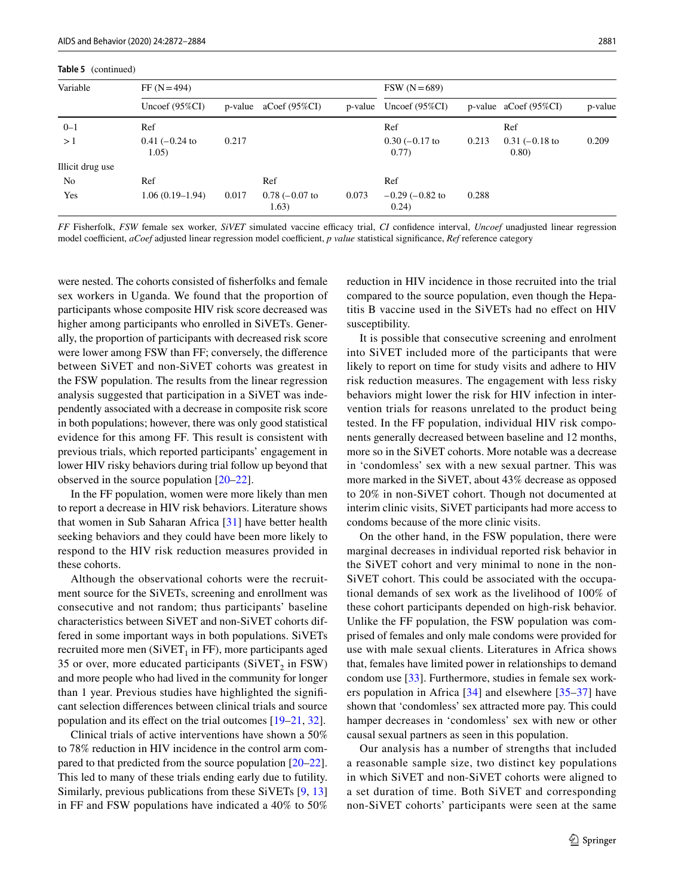**Table 5** (continued)

| Variable         | $FF (N = 494)$          |       | $FSW (N=689)$            |         |                               |       |                            |         |
|------------------|-------------------------|-------|--------------------------|---------|-------------------------------|-------|----------------------------|---------|
|                  | Uncoef $(95\%CI)$       |       | $p$ -value aCoef (95%CI) | p-value | Uncoef $(95\%CI)$             |       | $p$ -value aCoef (95%CI)   | p-value |
| $0 - 1$          | Ref                     |       |                          |         | Ref                           |       | Ref                        |         |
| >1               | $0.41 (-0.24)$<br>1.05) | 0.217 |                          |         | $0.30$ (-0.17 to<br>0.77)     | 0.213 | $0.31$ (-0.18 to<br>(0.80) | 0.209   |
| Illicit drug use |                         |       |                          |         |                               |       |                            |         |
| No               | Ref                     |       | Ref                      |         | Ref                           |       |                            |         |
| Yes              | $1.06(0.19-1.94)$       | 0.017 | $0.78 (-0.07)$<br>1.63)  | 0.073   | $-0.29$ ( $-0.82$ to<br>0.24) | 0.288 |                            |         |

*FF* Fisherfolk, *FSW* female sex worker, *SiVET* simulated vaccine efficacy trial, *CI* confidence interval, *Uncoef* unadjusted linear regression model coefficient, *aCoef* adjusted linear regression model coefficient, *p value* statistical significance, *Ref* reference category

were nested. The cohorts consisted of fsherfolks and female sex workers in Uganda. We found that the proportion of participants whose composite HIV risk score decreased was higher among participants who enrolled in SiVETs. Generally, the proportion of participants with decreased risk score were lower among FSW than FF; conversely, the diference between SiVET and non-SiVET cohorts was greatest in the FSW population. The results from the linear regression analysis suggested that participation in a SiVET was independently associated with a decrease in composite risk score in both populations; however, there was only good statistical evidence for this among FF. This result is consistent with previous trials, which reported participants' engagement in lower HIV risky behaviors during trial follow up beyond that observed in the source population [[20](#page-12-16)[–22](#page-12-17)].

In the FF population, women were more likely than men to report a decrease in HIV risk behaviors. Literature shows that women in Sub Saharan Africa [[31\]](#page-13-0) have better health seeking behaviors and they could have been more likely to respond to the HIV risk reduction measures provided in these cohorts.

Although the observational cohorts were the recruitment source for the SiVETs, screening and enrollment was consecutive and not random; thus participants' baseline characteristics between SiVET and non-SiVET cohorts differed in some important ways in both populations. SiVETs recruited more men  $(SiVET_1$  in FF), more participants aged 35 or over, more educated participants ( $SiVET_2$  in FSW) and more people who had lived in the community for longer than 1 year. Previous studies have highlighted the signifcant selection diferences between clinical trials and source population and its efect on the trial outcomes [[19–](#page-12-15)[21,](#page-12-29) [32\]](#page-13-1).

Clinical trials of active interventions have shown a 50% to 78% reduction in HIV incidence in the control arm compared to that predicted from the source population [[20](#page-12-16)[–22](#page-12-17)]. This led to many of these trials ending early due to futility. Similarly, previous publications from these SiVETs [[9,](#page-12-8) [13\]](#page-12-27) in FF and FSW populations have indicated a 40% to 50%

reduction in HIV incidence in those recruited into the trial compared to the source population, even though the Hepatitis B vaccine used in the SiVETs had no efect on HIV susceptibility.

It is possible that consecutive screening and enrolment into SiVET included more of the participants that were likely to report on time for study visits and adhere to HIV risk reduction measures. The engagement with less risky behaviors might lower the risk for HIV infection in intervention trials for reasons unrelated to the product being tested. In the FF population, individual HIV risk components generally decreased between baseline and 12 months, more so in the SiVET cohorts. More notable was a decrease in 'condomless' sex with a new sexual partner. This was more marked in the SiVET, about 43% decrease as opposed to 20% in non-SiVET cohort. Though not documented at interim clinic visits, SiVET participants had more access to condoms because of the more clinic visits.

On the other hand, in the FSW population, there were marginal decreases in individual reported risk behavior in the SiVET cohort and very minimal to none in the non-SiVET cohort. This could be associated with the occupational demands of sex work as the livelihood of 100% of these cohort participants depended on high-risk behavior. Unlike the FF population, the FSW population was comprised of females and only male condoms were provided for use with male sexual clients. Literatures in Africa shows that, females have limited power in relationships to demand condom use [\[33](#page-13-2)]. Furthermore, studies in female sex workers population in Africa [[34](#page-13-3)] and elsewhere [[35–](#page-13-4)[37](#page-13-5)] have shown that 'condomless' sex attracted more pay. This could hamper decreases in 'condomless' sex with new or other causal sexual partners as seen in this population.

Our analysis has a number of strengths that included a reasonable sample size, two distinct key populations in which SiVET and non-SiVET cohorts were aligned to a set duration of time. Both SiVET and corresponding non-SiVET cohorts' participants were seen at the same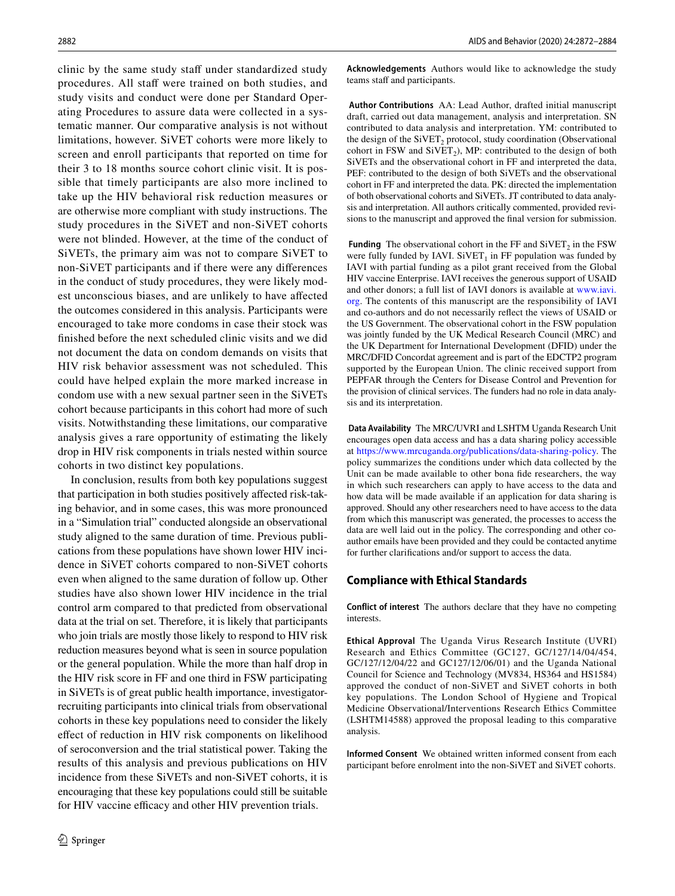clinic by the same study staff under standardized study procedures. All staff were trained on both studies, and study visits and conduct were done per Standard Operating Procedures to assure data were collected in a systematic manner. Our comparative analysis is not without limitations, however. SiVET cohorts were more likely to screen and enroll participants that reported on time for their 3 to 18 months source cohort clinic visit. It is possible that timely participants are also more inclined to take up the HIV behavioral risk reduction measures or are otherwise more compliant with study instructions. The study procedures in the SiVET and non-SiVET cohorts were not blinded. However, at the time of the conduct of SiVETs, the primary aim was not to compare SiVET to non-SiVET participants and if there were any diferences in the conduct of study procedures, they were likely modest unconscious biases, and are unlikely to have afected the outcomes considered in this analysis. Participants were encouraged to take more condoms in case their stock was fnished before the next scheduled clinic visits and we did not document the data on condom demands on visits that HIV risk behavior assessment was not scheduled. This could have helped explain the more marked increase in condom use with a new sexual partner seen in the SiVETs cohort because participants in this cohort had more of such visits. Notwithstanding these limitations, our comparative analysis gives a rare opportunity of estimating the likely drop in HIV risk components in trials nested within source cohorts in two distinct key populations.

In conclusion, results from both key populations suggest that participation in both studies positively afected risk-taking behavior, and in some cases, this was more pronounced in a "Simulation trial" conducted alongside an observational study aligned to the same duration of time. Previous publications from these populations have shown lower HIV incidence in SiVET cohorts compared to non-SiVET cohorts even when aligned to the same duration of follow up. Other studies have also shown lower HIV incidence in the trial control arm compared to that predicted from observational data at the trial on set. Therefore, it is likely that participants who join trials are mostly those likely to respond to HIV risk reduction measures beyond what is seen in source population or the general population. While the more than half drop in the HIV risk score in FF and one third in FSW participating in SiVETs is of great public health importance, investigatorrecruiting participants into clinical trials from observational cohorts in these key populations need to consider the likely efect of reduction in HIV risk components on likelihood of seroconversion and the trial statistical power. Taking the results of this analysis and previous publications on HIV incidence from these SiVETs and non-SiVET cohorts, it is encouraging that these key populations could still be suitable for HIV vaccine efficacy and other HIV prevention trials.

**Acknowledgements** Authors would like to acknowledge the study teams staff and participants.

 **Author Contributions** AA: Lead Author, drafted initial manuscript draft, carried out data management, analysis and interpretation. SN contributed to data analysis and interpretation. YM: contributed to the design of the  $SiVET_2$  protocol, study coordination (Observational cohort in FSW and  $SIVER<sub>2</sub>$ ), MP: contributed to the design of both SiVETs and the observational cohort in FF and interpreted the data, PEF: contributed to the design of both SiVETs and the observational cohort in FF and interpreted the data. PK: directed the implementation of both observational cohorts and SiVETs. JT contributed to data analysis and interpretation. All authors critically commented, provided revisions to the manuscript and approved the fnal version for submission.

**Funding** The observational cohort in the FF and SiVET<sub>2</sub> in the FSW were fully funded by IAVI.  $S\text{iVET}_1$  in FF population was funded by IAVI with partial funding as a pilot grant received from the Global HIV vaccine Enterprise. IAVI receives the generous support of USAID and other donors; a full list of IAVI donors is available at [www.iavi.](http://www.iavi.org) [org.](http://www.iavi.org) The contents of this manuscript are the responsibility of IAVI and co-authors and do not necessarily refect the views of USAID or the US Government. The observational cohort in the FSW population was jointly funded by the UK Medical Research Council (MRC) and the UK Department for International Development (DFID) under the MRC/DFID Concordat agreement and is part of the EDCTP2 program supported by the European Union. The clinic received support from PEPFAR through the Centers for Disease Control and Prevention for the provision of clinical services. The funders had no role in data analysis and its interpretation.

 **Data Availability** The MRC/UVRI and LSHTM Uganda Research Unit encourages open data access and has a data sharing policy accessible at <https://www.mrcuganda.org/publications/data-sharing-policy>. The policy summarizes the conditions under which data collected by the Unit can be made available to other bona fde researchers, the way in which such researchers can apply to have access to the data and how data will be made available if an application for data sharing is approved. Should any other researchers need to have access to the data from which this manuscript was generated, the processes to access the data are well laid out in the policy. The corresponding and other coauthor emails have been provided and they could be contacted anytime for further clarifcations and/or support to access the data.

#### **Compliance with Ethical Standards**

**Conflict of interest** The authors declare that they have no competing interests.

**Ethical Approval** The Uganda Virus Research Institute (UVRI) Research and Ethics Committee (GC127, GC/127/14/04/454, GC/127/12/04/22 and GC127/12/06/01) and the Uganda National Council for Science and Technology (MV834, HS364 and HS1584) approved the conduct of non-SiVET and SiVET cohorts in both key populations. The London School of Hygiene and Tropical Medicine Observational/Interventions Research Ethics Committee (LSHTM14588) approved the proposal leading to this comparative analysis.

**Informed Consent** We obtained written informed consent from each participant before enrolment into the non-SiVET and SiVET cohorts.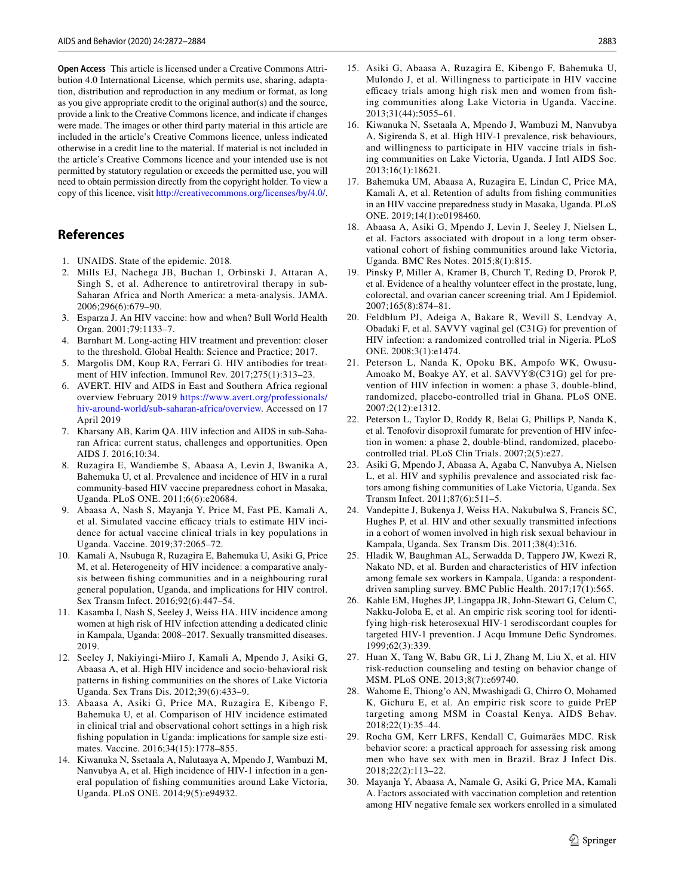**Open Access** This article is licensed under a Creative Commons Attribution 4.0 International License, which permits use, sharing, adaptation, distribution and reproduction in any medium or format, as long as you give appropriate credit to the original author(s) and the source, provide a link to the Creative Commons licence, and indicate if changes were made. The images or other third party material in this article are included in the article's Creative Commons licence, unless indicated otherwise in a credit line to the material. If material is not included in the article's Creative Commons licence and your intended use is not permitted by statutory regulation or exceeds the permitted use, you will need to obtain permission directly from the copyright holder. To view a copy of this licence, visit <http://creativecommons.org/licenses/by/4.0/>.

## **References**

- <span id="page-12-0"></span>1. UNAIDS. State of the epidemic. 2018.
- <span id="page-12-1"></span>2. Mills EJ, Nachega JB, Buchan I, Orbinski J, Attaran A, Singh S, et al. Adherence to antiretroviral therapy in sub-Saharan Africa and North America: a meta-analysis. JAMA. 2006;296(6):679–90.
- <span id="page-12-2"></span>3. Esparza J. An HIV vaccine: how and when? Bull World Health Organ. 2001;79:1133–7.
- <span id="page-12-3"></span>4. Barnhart M. Long-acting HIV treatment and prevention: closer to the threshold. Global Health: Science and Practice; 2017.
- <span id="page-12-4"></span>5. Margolis DM, Koup RA, Ferrari G. HIV antibodies for treatment of HIV infection. Immunol Rev. 2017;275(1):313–23.
- <span id="page-12-5"></span>6. AVERT. HIV and AIDS in East and Southern Africa regional overview February 2019 [https://www.avert.org/professionals/](https://www.avert.org/professionals/hiv-around-world/sub-saharan-africa/overview) [hiv-around-world/sub-saharan-africa/overview.](https://www.avert.org/professionals/hiv-around-world/sub-saharan-africa/overview) Accessed on 17 April 2019
- <span id="page-12-6"></span>7. Kharsany AB, Karim QA. HIV infection and AIDS in sub-Saharan Africa: current status, challenges and opportunities. Open AIDS J. 2016;10:34.
- <span id="page-12-7"></span>8. Ruzagira E, Wandiembe S, Abaasa A, Levin J, Bwanika A, Bahemuka U, et al. Prevalence and incidence of HIV in a rural community-based HIV vaccine preparedness cohort in Masaka, Uganda. PLoS ONE. 2011;6(6):e20684.
- <span id="page-12-8"></span>9. Abaasa A, Nash S, Mayanja Y, Price M, Fast PE, Kamali A, et al. Simulated vaccine efficacy trials to estimate HIV incidence for actual vaccine clinical trials in key populations in Uganda. Vaccine. 2019;37:2065–72.
- <span id="page-12-24"></span>10. Kamali A, Nsubuga R, Ruzagira E, Bahemuka U, Asiki G, Price M, et al. Heterogeneity of HIV incidence: a comparative analysis between fshing communities and in a neighbouring rural general population, Uganda, and implications for HIV control. Sex Transm Infect. 2016;92(6):447–54.
- <span id="page-12-25"></span>11. Kasamba I, Nash S, Seeley J, Weiss HA. HIV incidence among women at high risk of HIV infection attending a dedicated clinic in Kampala, Uganda: 2008–2017. Sexually transmitted diseases. 2019.
- <span id="page-12-9"></span>12. Seeley J, Nakiyingi-Miiro J, Kamali A, Mpendo J, Asiki G, Abaasa A, et al. High HIV incidence and socio-behavioral risk patterns in fshing communities on the shores of Lake Victoria Uganda. Sex Trans Dis. 2012;39(6):433–9.
- <span id="page-12-27"></span>13. Abaasa A, Asiki G, Price MA, Ruzagira E, Kibengo F, Bahemuka U, et al. Comparison of HIV incidence estimated in clinical trial and observational cohort settings in a high risk fshing population in Uganda: implications for sample size estimates. Vaccine. 2016;34(15):1778–855.
- <span id="page-12-10"></span>14. Kiwanuka N, Ssetaala A, Nalutaaya A, Mpendo J, Wambuzi M, Nanvubya A, et al. High incidence of HIV-1 infection in a general population of fshing communities around Lake Victoria, Uganda. PLoS ONE. 2014;9(5):e94932.
- <span id="page-12-11"></span>15. Asiki G, Abaasa A, Ruzagira E, Kibengo F, Bahemuka U, Mulondo J, et al. Willingness to participate in HIV vaccine efficacy trials among high risk men and women from fishing communities along Lake Victoria in Uganda. Vaccine. 2013;31(44):5055–61.
- <span id="page-12-12"></span>16. Kiwanuka N, Ssetaala A, Mpendo J, Wambuzi M, Nanvubya A, Sigirenda S, et al. High HIV-1 prevalence, risk behaviours, and willingness to participate in HIV vaccine trials in fshing communities on Lake Victoria, Uganda. J Intl AIDS Soc. 2013;16(1):18621.
- <span id="page-12-13"></span>17. Bahemuka UM, Abaasa A, Ruzagira E, Lindan C, Price MA, Kamali A, et al. Retention of adults from fshing communities in an HIV vaccine preparedness study in Masaka, Uganda. PLoS ONE. 2019;14(1):e0198460.
- <span id="page-12-14"></span>18. Abaasa A, Asiki G, Mpendo J, Levin J, Seeley J, Nielsen L, et al. Factors associated with dropout in a long term observational cohort of fshing communities around lake Victoria, Uganda. BMC Res Notes. 2015;8(1):815.
- <span id="page-12-15"></span>19. Pinsky P, Miller A, Kramer B, Church T, Reding D, Prorok P, et al. Evidence of a healthy volunteer efect in the prostate, lung, colorectal, and ovarian cancer screening trial. Am J Epidemiol. 2007;165(8):874–81.
- <span id="page-12-16"></span>20. Feldblum PJ, Adeiga A, Bakare R, Wevill S, Lendvay A, Obadaki F, et al. SAVVY vaginal gel (C31G) for prevention of HIV infection: a randomized controlled trial in Nigeria. PLoS ONE. 2008;3(1):e1474.
- <span id="page-12-29"></span>21. Peterson L, Nanda K, Opoku BK, Ampofo WK, Owusu-Amoako M, Boakye AY, et al. SAVVY®(C31G) gel for prevention of HIV infection in women: a phase 3, double-blind, randomized, placebo-controlled trial in Ghana. PLoS ONE. 2007;2(12):e1312.
- <span id="page-12-17"></span>22. Peterson L, Taylor D, Roddy R, Belai G, Phillips P, Nanda K, et al. Tenofovir disoproxil fumarate for prevention of HIV infection in women: a phase 2, double-blind, randomized, placebocontrolled trial. PLoS Clin Trials. 2007;2(5):e27.
- <span id="page-12-18"></span>23. Asiki G, Mpendo J, Abaasa A, Agaba C, Nanvubya A, Nielsen L, et al. HIV and syphilis prevalence and associated risk factors among fshing communities of Lake Victoria, Uganda. Sex Transm Infect. 2011;87(6):511–5.
- <span id="page-12-26"></span>24. Vandepitte J, Bukenya J, Weiss HA, Nakubulwa S, Francis SC, Hughes P, et al. HIV and other sexually transmitted infections in a cohort of women involved in high risk sexual behaviour in Kampala, Uganda. Sex Transm Dis. 2011;38(4):316.
- <span id="page-12-19"></span>25. Hladik W, Baughman AL, Serwadda D, Tappero JW, Kwezi R, Nakato ND, et al. Burden and characteristics of HIV infection among female sex workers in Kampala, Uganda: a respondentdriven sampling survey. BMC Public Health. 2017;17(1):565.
- <span id="page-12-20"></span>26. Kahle EM, Hughes JP, Lingappa JR, John-Stewart G, Celum C, Nakku-Joloba E, et al. An empiric risk scoring tool for identifying high-risk heterosexual HIV-1 serodiscordant couples for targeted HIV-1 prevention. J Acqu Immune Defic Syndromes. 1999;62(3):339.
- <span id="page-12-21"></span>27. Huan X, Tang W, Babu GR, Li J, Zhang M, Liu X, et al. HIV risk-reduction counseling and testing on behavior change of MSM. PLoS ONE. 2013;8(7):e69740.
- <span id="page-12-22"></span>28. Wahome E, Thiong'o AN, Mwashigadi G, Chirro O, Mohamed K, Gichuru E, et al. An empiric risk score to guide PrEP targeting among MSM in Coastal Kenya. AIDS Behav. 2018;22(1):35–44.
- <span id="page-12-23"></span>29. Rocha GM, Kerr LRFS, Kendall C, Guimarães MDC. Risk behavior score: a practical approach for assessing risk among men who have sex with men in Brazil. Braz J Infect Dis. 2018;22(2):113–22.
- <span id="page-12-28"></span>30. Mayanja Y, Abaasa A, Namale G, Asiki G, Price MA, Kamali A. Factors associated with vaccination completion and retention among HIV negative female sex workers enrolled in a simulated